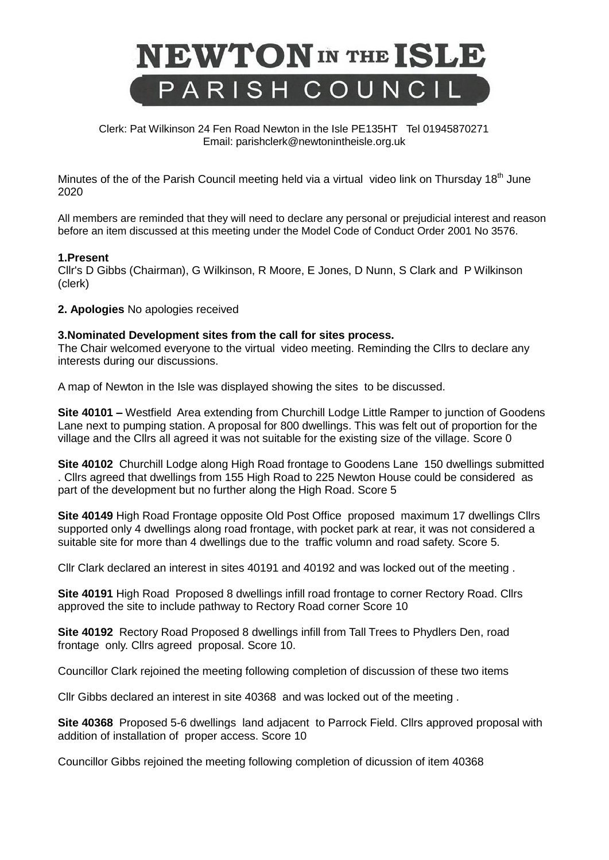

 Clerk: Pat Wilkinson 24 Fen Road Newton in the Isle PE135HT Tel 01945870271 Email: parishclerk@newtonintheisle.org.uk

Minutes of the of the Parish Council meeting held via a virtual video link on Thursday 18<sup>th</sup> June 2020

All members are reminded that they will need to declare any personal or prejudicial interest and reason before an item discussed at this meeting under the Model Code of Conduct Order 2001 No 3576.

## **1.Present**

Cllr's D Gibbs (Chairman), G Wilkinson, R Moore, E Jones, D Nunn, S Clark and P Wilkinson (clerk)

**2. Apologies** No apologies received

## **3.Nominated Development sites from the call for sites process.**

The Chair welcomed everyone to the virtual video meeting. Reminding the Cllrs to declare any interests during our discussions.

A map of Newton in the Isle was displayed showing the sites to be discussed.

**Site 40101 –** Westfield Area extending from Churchill Lodge Little Ramper to junction of Goodens Lane next to pumping station. A proposal for 800 dwellings. This was felt out of proportion for the village and the Cllrs all agreed it was not suitable for the existing size of the village. Score 0

**Site 40102** Churchill Lodge along High Road frontage to Goodens Lane 150 dwellings submitted . Cllrs agreed that dwellings from 155 High Road to 225 Newton House could be considered as part of the development but no further along the High Road. Score 5

**Site 40149** High Road Frontage opposite Old Post Office proposed maximum 17 dwellings Cllrs supported only 4 dwellings along road frontage, with pocket park at rear, it was not considered a suitable site for more than 4 dwellings due to the traffic volumn and road safety. Score 5.

Cllr Clark declared an interest in sites 40191 and 40192 and was locked out of the meeting .

**Site 40191** High Road Proposed 8 dwellings infill road frontage to corner Rectory Road. Cllrs approved the site to include pathway to Rectory Road corner Score 10

**Site 40192** Rectory Road Proposed 8 dwellings infill from Tall Trees to Phydlers Den, road frontage only. Cllrs agreed proposal. Score 10.

Councillor Clark rejoined the meeting following completion of discussion of these two items

Cllr Gibbs declared an interest in site 40368 and was locked out of the meeting .

**Site 40368** Proposed 5-6 dwellings land adjacent to Parrock Field. Cllrs approved proposal with addition of installation of proper access. Score 10

Councillor Gibbs rejoined the meeting following completion of dicussion of item 40368